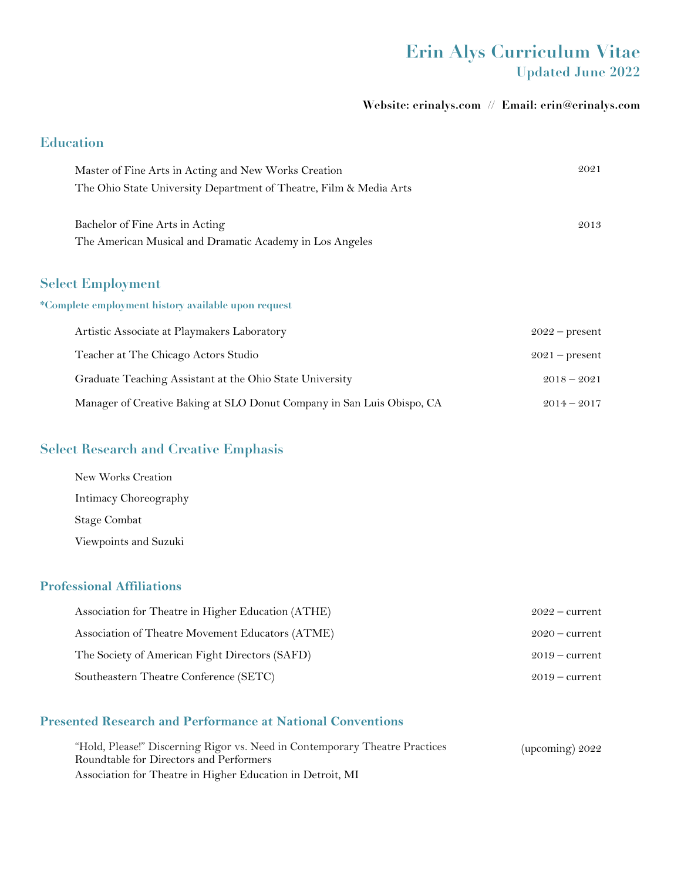## **Erin Alys Curriculum Vitae Updated June 2022**

#### **Website: erinalys.com // Email: erin@erinalys.com**

### **Education**

| Master of Fine Arts in Acting and New Works Creation                   | 2021             |
|------------------------------------------------------------------------|------------------|
| The Ohio State University Department of Theatre, Film & Media Arts     |                  |
|                                                                        |                  |
| Bachelor of Fine Arts in Acting                                        | 2013             |
| The American Musical and Dramatic Academy in Los Angeles               |                  |
|                                                                        |                  |
| <b>Select Employment</b>                                               |                  |
| *Complete employment history available upon request                    |                  |
| Artistic Associate at Playmakers Laboratory                            | $2022$ – present |
| Teacher at The Chicago Actors Studio                                   | $2021$ – present |
| Graduate Teaching Assistant at the Ohio State University               | $2018 - 2021$    |
| Manager of Creative Baking at SLO Donut Company in San Luis Obispo, CA | $2014 - 2017$    |

### **Select Research and Creative Emphasis**

| New Works Creation    |
|-----------------------|
| Intimacy Choreography |
| <b>Stage Combat</b>   |
| Viewpoints and Suzuki |

#### **Professional Affiliations**

| Association for Theatre in Higher Education (ATHE) | $2022$ – current |
|----------------------------------------------------|------------------|
| Association of Theatre Movement Educators (ATME)   | $2020$ – current |
| The Society of American Fight Directors (SAFD)     | $2019 - current$ |
| Southeastern Theatre Conference (SETC)             | $2019 - current$ |

### **Presented Research and Performance at National Conventions**

| "Hold, Please!" Discerning Rigor vs. Need in Contemporary Theatre Practices | (upcoming) $2022$ |
|-----------------------------------------------------------------------------|-------------------|
| Roundtable for Directors and Performers                                     |                   |
| Association for Theatre in Higher Education in Detroit, MI                  |                   |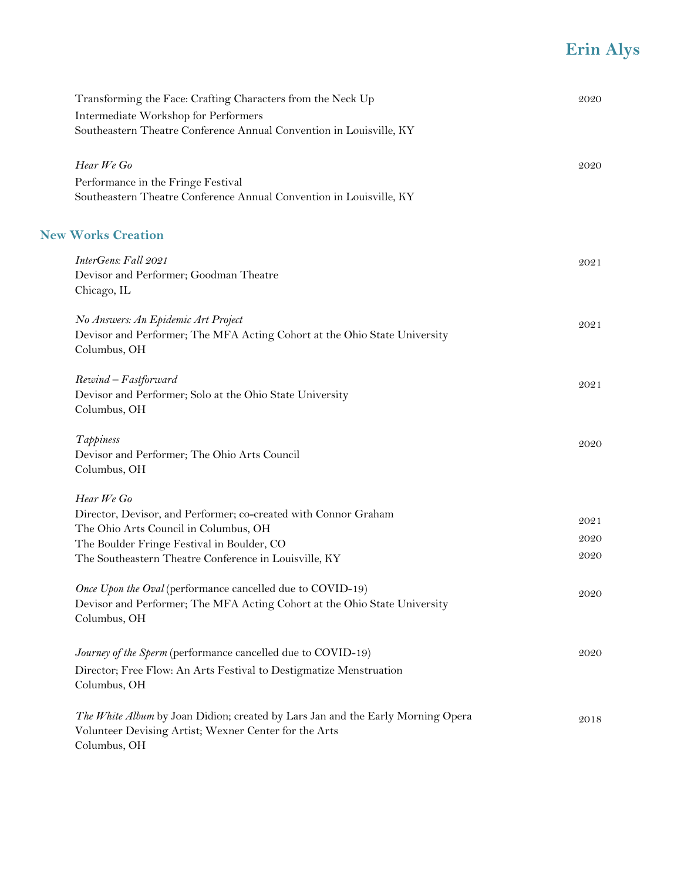| Transforming the Face: Crafting Characters from the Neck Up                     | 2020 |
|---------------------------------------------------------------------------------|------|
| Intermediate Workshop for Performers                                            |      |
| Southeastern Theatre Conference Annual Convention in Louisville, KY             |      |
| Hear We Go                                                                      | 2020 |
| Performance in the Fringe Festival                                              |      |
| Southeastern Theatre Conference Annual Convention in Louisville, KY             |      |
| <b>New Works Creation</b>                                                       |      |
| InterGens: Fall 2021                                                            | 2021 |
| Devisor and Performer; Goodman Theatre                                          |      |
| Chicago, IL                                                                     |      |
| No Answers: An Epidemic Art Project                                             | 2021 |
| Devisor and Performer; The MFA Acting Cohort at the Ohio State University       |      |
| Columbus, OH                                                                    |      |
| Rewind - Fastforward                                                            | 2021 |
| Devisor and Performer; Solo at the Ohio State University                        |      |
| Columbus, OH                                                                    |      |
| Tappiness                                                                       | 2020 |
| Devisor and Performer; The Ohio Arts Council                                    |      |
| Columbus, OH                                                                    |      |
| Hear We Go                                                                      |      |
| Director, Devisor, and Performer; co-created with Connor Graham                 | 2021 |
| The Ohio Arts Council in Columbus, OH                                           | 2020 |
| The Boulder Fringe Festival in Boulder, CO                                      | 2020 |
| The Southeastern Theatre Conference in Louisville, KY                           |      |
| Once Upon the Oval (performance cancelled due to COVID-19)                      | 2020 |
| Devisor and Performer; The MFA Acting Cohort at the Ohio State University       |      |
| Columbus, OH                                                                    |      |
| Journey of the Sperm (performance cancelled due to COVID-19)                    | 2020 |
| Director; Free Flow: An Arts Festival to Destigmatize Menstruation              |      |
| Columbus, OH                                                                    |      |
| The White Album by Joan Didion; created by Lars Jan and the Early Morning Opera | 2018 |
| Volunteer Devising Artist; Wexner Center for the Arts                           |      |
| Columbus, OH                                                                    |      |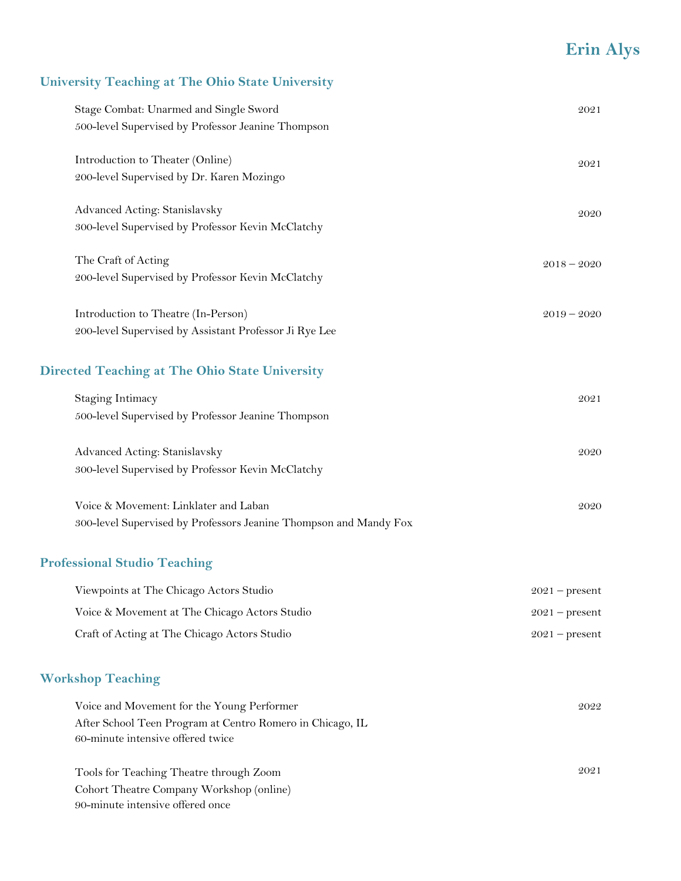### **University Teaching at The Ohio State University**

| Stage Combat: Unarmed and Single Sword<br>500-level Supervised by Professor Jeanine Thompson  | 2021          |
|-----------------------------------------------------------------------------------------------|---------------|
| Introduction to Theater (Online)<br>200-level Supervised by Dr. Karen Mozingo                 | 2021          |
| Advanced Acting: Stanislavsky<br>300-level Supervised by Professor Kevin McClatchy            | 2020          |
| The Craft of Acting<br>200-level Supervised by Professor Kevin McClatchy                      | $2018 - 2020$ |
| Introduction to Theatre (In-Person)<br>200-level Supervised by Assistant Professor Ji Rye Lee | $2019 - 2020$ |

#### **Directed Teaching at The Ohio State University**

| Staging Intimacy                                   | 2021 |
|----------------------------------------------------|------|
| 500-level Supervised by Professor Jeanine Thompson |      |
|                                                    |      |
| Advanced Acting: Stanislavsky                      | 2020 |
| 300-level Supervised by Professor Kevin McClatchy  |      |

| Voice & Movement: Linklater and Laban                             | 2020 |
|-------------------------------------------------------------------|------|
| 300-level Supervised by Professors Jeanine Thompson and Mandy Fox |      |

#### **Professional Studio Teaching**

| Viewpoints at The Chicago Actors Studio       | $2021$ – present |
|-----------------------------------------------|------------------|
| Voice & Movement at The Chicago Actors Studio | $2021$ – present |
| Craft of Acting at The Chicago Actors Studio  | $2021$ – present |

#### **Workshop Teaching**

| Voice and Movement for the Young Performer                | 2022 |
|-----------------------------------------------------------|------|
| After School Teen Program at Centro Romero in Chicago, IL |      |
| 60-minute intensive offered twice                         |      |
|                                                           |      |
| Tools for Teaching Theatre through Zoom                   | 2021 |

Cohort Theatre Company Workshop (online) 90-minute intensive offered once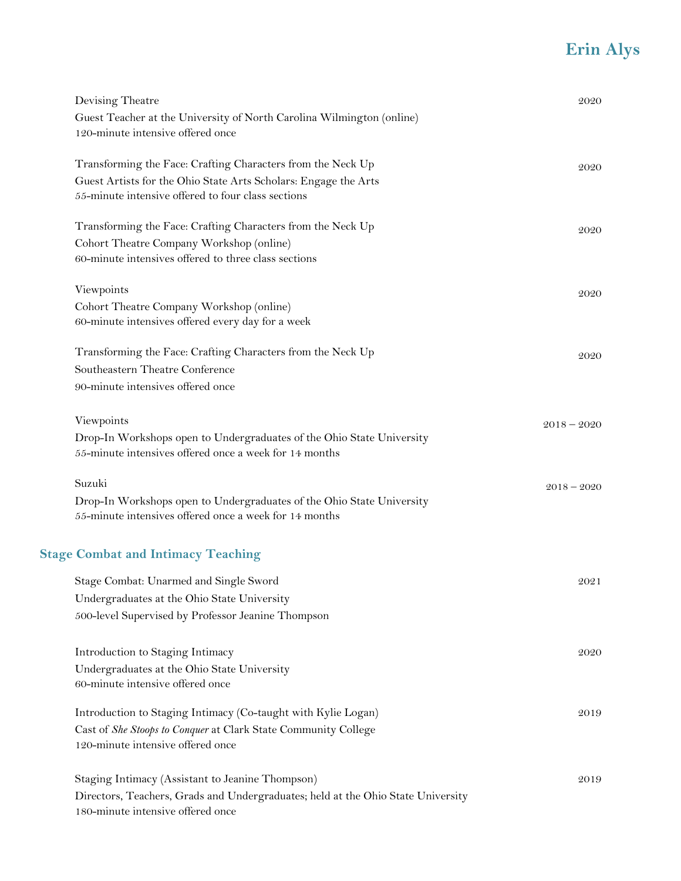| Devising Theatre                                                                 | 2020          |
|----------------------------------------------------------------------------------|---------------|
| Guest Teacher at the University of North Carolina Wilmington (online)            |               |
| 120-minute intensive offered once                                                |               |
| Transforming the Face: Crafting Characters from the Neck Up                      | 2020          |
| Guest Artists for the Ohio State Arts Scholars: Engage the Arts                  |               |
| 55-minute intensive offered to four class sections                               |               |
| Transforming the Face: Crafting Characters from the Neck Up                      | 2020          |
| Cohort Theatre Company Workshop (online)                                         |               |
| 60-minute intensives offered to three class sections                             |               |
| Viewpoints                                                                       | 2020          |
| Cohort Theatre Company Workshop (online)                                         |               |
| 60-minute intensives offered every day for a week                                |               |
| Transforming the Face: Crafting Characters from the Neck Up                      | 2020          |
| Southeastern Theatre Conference                                                  |               |
| 90-minute intensives offered once                                                |               |
| Viewpoints                                                                       | $2018 - 2020$ |
| Drop-In Workshops open to Undergraduates of the Ohio State University            |               |
| 55-minute intensives offered once a week for 14 months                           |               |
| Suzuki                                                                           | $2018 - 2020$ |
| Drop-In Workshops open to Undergraduates of the Ohio State University            |               |
| 55-minute intensives offered once a week for 14 months                           |               |
| <b>Stage Combat and Intimacy Teaching</b>                                        |               |
| Stage Combat: Unarmed and Single Sword                                           | 2021          |
| Undergraduates at the Ohio State University                                      |               |
| 500-level Supervised by Professor Jeanine Thompson                               |               |
| Introduction to Staging Intimacy                                                 | 2020          |
| Undergraduates at the Ohio State University                                      |               |
| 60-minute intensive offered once                                                 |               |
| Introduction to Staging Intimacy (Co-taught with Kylie Logan)                    | 2019          |
| Cast of She Stoops to Conquer at Clark State Community College                   |               |
| 120-minute intensive offered once                                                |               |
| Staging Intimacy (Assistant to Jeanine Thompson)                                 | 2019          |
| Directors, Teachers, Grads and Undergraduates; held at the Ohio State University |               |
| 180-minute intensive offered once                                                |               |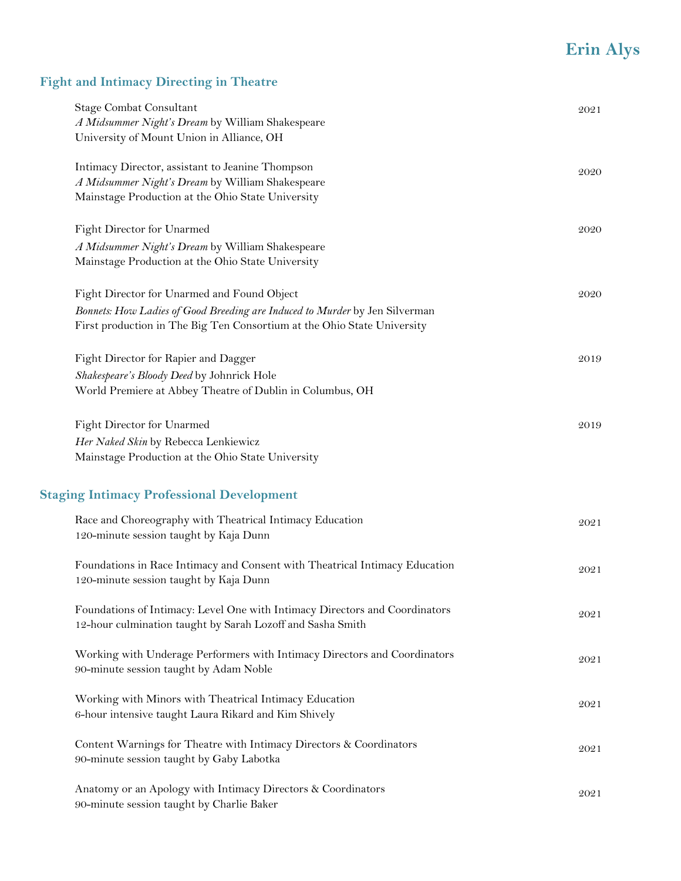### **Fight and Intimacy Directing in Theatre**

| Stage Combat Consultant                                                     | 2021 |
|-----------------------------------------------------------------------------|------|
| A Midsummer Night's Dream by William Shakespeare                            |      |
| University of Mount Union in Alliance, OH                                   |      |
| Intimacy Director, assistant to Jeanine Thompson                            | 2020 |
| A Midsummer Night's Dream by William Shakespeare                            |      |
| Mainstage Production at the Ohio State University                           |      |
| Fight Director for Unarmed                                                  | 2020 |
| A Midsummer Night's Dream by William Shakespeare                            |      |
| Mainstage Production at the Ohio State University                           |      |
| Fight Director for Unarmed and Found Object                                 | 2020 |
| Bonnets: How Ladies of Good Breeding are Induced to Murder by Jen Silverman |      |
| First production in The Big Ten Consortium at the Ohio State University     |      |
| Fight Director for Rapier and Dagger                                        | 2019 |
| Shakespeare's Bloody Deed by Johnrick Hole                                  |      |
| World Premiere at Abbey Theatre of Dublin in Columbus, OH                   |      |
| Fight Director for Unarmed                                                  | 2019 |
|                                                                             |      |
| Her Naked Skin by Rebecca Lenkiewicz                                        |      |
| Mainstage Production at the Ohio State University                           |      |
| <b>Staging Intimacy Professional Development</b>                            |      |
| Race and Choreography with Theatrical Intimacy Education                    | 2021 |
| 120-minute session taught by Kaja Dunn                                      |      |
| Foundations in Race Intimacy and Consent with Theatrical Intimacy Education | 2021 |
| 120-minute session taught by Kaja Dunn                                      |      |
| Foundations of Intimacy: Level One with Intimacy Directors and Coordinators | 2021 |
| 12-hour culmination taught by Sarah Lozoff and Sasha Smith                  |      |
| Working with Underage Performers with Intimacy Directors and Coordinators   | 2021 |
| 90-minute session taught by Adam Noble                                      |      |
| Working with Minors with Theatrical Intimacy Education                      | 2021 |
| 6-hour intensive taught Laura Rikard and Kim Shively                        |      |
| Content Warnings for Theatre with Intimacy Directors & Coordinators         | 2021 |
| 90-minute session taught by Gaby Labotka                                    |      |
| Anatomy or an Apology with Intimacy Directors & Coordinators                | 2021 |
| 90-minute session taught by Charlie Baker                                   |      |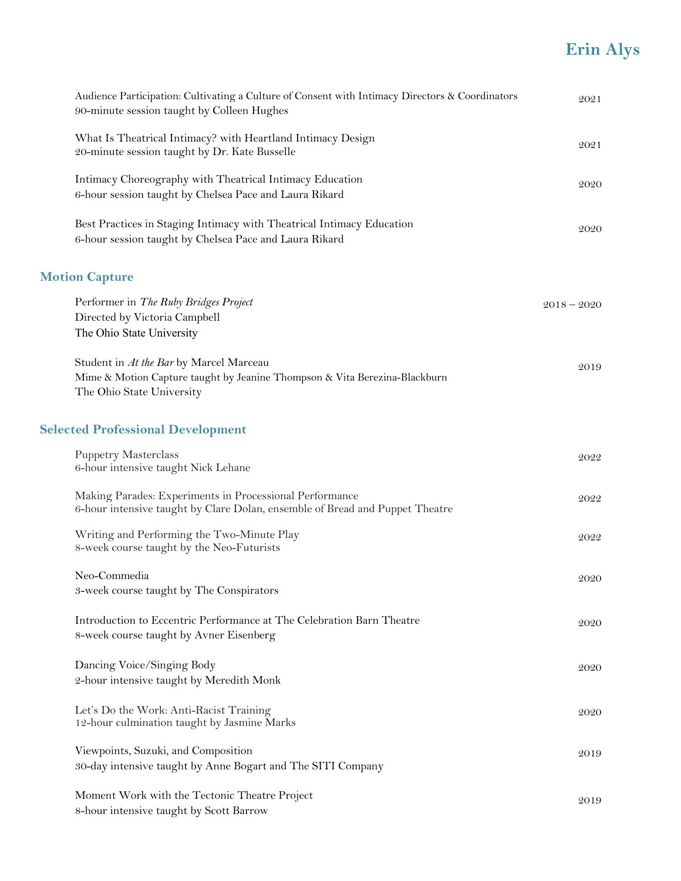| Audience Participation: Cultivating a Culture of Consent with Intimacy Directors & Coordinators<br>90-minute session taught by Colleen Hughes      | 2021          |
|----------------------------------------------------------------------------------------------------------------------------------------------------|---------------|
| What Is Theatrical Intimacy? with Heartland Intimacy Design<br>20-minute session taught by Dr. Kate Busselle                                       | 2021          |
| Intimacy Choreography with Theatrical Intimacy Education<br>6-hour session taught by Chelsea Pace and Laura Rikard                                 | 2020          |
| Best Practices in Staging Intimacy with Theatrical Intimacy Education<br>6-hour session taught by Chelsea Pace and Laura Rikard                    | 2020          |
| <b>Motion Capture</b>                                                                                                                              |               |
| Performer in The Ruby Bridges Project<br>Directed by Victoria Campbell<br>The Ohio State University                                                | $2018 - 2020$ |
| Student in At the Bar by Marcel Marceau<br>Mime & Motion Capture taught by Jeanine Thompson & Vita Berezina-Blackburn<br>The Ohio State University | 2019          |
| <b>Selected Professional Development</b>                                                                                                           |               |
| <b>Puppetry Masterclass</b><br>6-hour intensive taught Nick Lehane                                                                                 | 2022          |
| Making Parades: Experiments in Processional Performance<br>6-hour intensive taught by Clare Dolan, ensemble of Bread and Puppet Theatre            | 2022          |
| Writing and Performing the Two-Minute Play<br>8-week course taught by the Neo-Futurists                                                            | 2022          |
| Neo-Commedia<br>3-week course taught by The Conspirators                                                                                           | 2020          |
| Introduction to Eccentric Performance at The Celebration Barn Theatre<br>8-week course taught by Avner Eisenberg                                   | 2020          |
| Dancing Voice/Singing Body<br>2-hour intensive taught by Meredith Monk                                                                             | 2020          |
| Let's Do the Work: Anti-Racist Training<br>12-hour culmination taught by Jasmine Marks                                                             | 2020          |
| Viewpoints, Suzuki, and Composition<br>30-day intensive taught by Anne Bogart and The SITI Company                                                 | 2019          |
| Moment Work with the Tectonic Theatre Project<br>8-hour intensive taught by Scott Barrow                                                           | 2019          |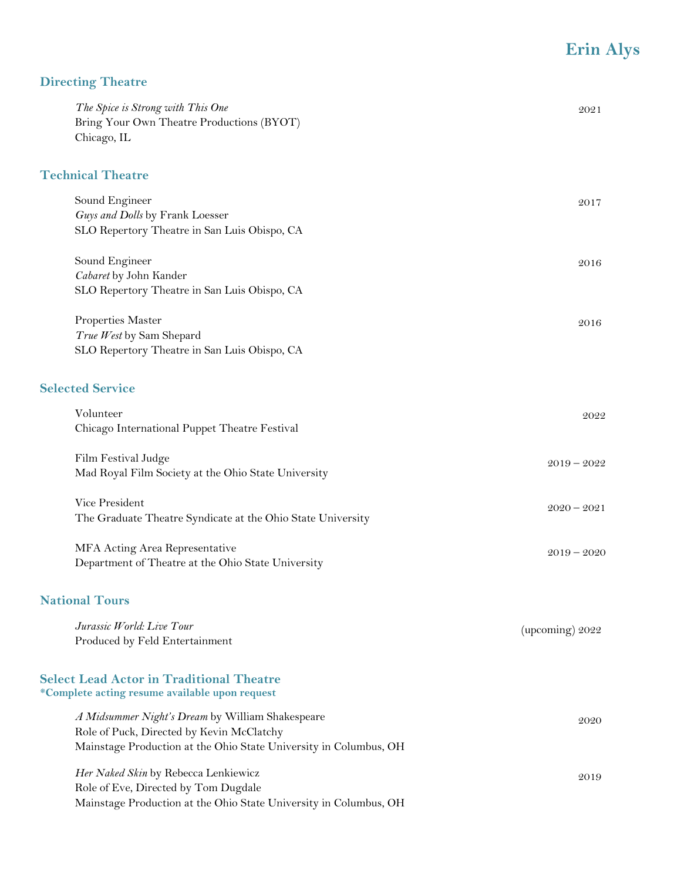## **Directing Theatre**

| The Spice is Strong with This One<br>Bring Your Own Theatre Productions (BYOT)<br>Chicago, IL                                                                      | 2021              |
|--------------------------------------------------------------------------------------------------------------------------------------------------------------------|-------------------|
| <b>Technical Theatre</b>                                                                                                                                           |                   |
| Sound Engineer<br>Guys and Dolls by Frank Loesser<br>SLO Repertory Theatre in San Luis Obispo, CA                                                                  | 2017              |
| Sound Engineer<br>Cabaret by John Kander<br>SLO Repertory Theatre in San Luis Obispo, CA                                                                           | 2016              |
| Properties Master<br>True West by Sam Shepard<br>SLO Repertory Theatre in San Luis Obispo, CA                                                                      | 2016              |
| <b>Selected Service</b>                                                                                                                                            |                   |
| Volunteer<br>Chicago International Puppet Theatre Festival                                                                                                         | 2022              |
| Film Festival Judge<br>Mad Royal Film Society at the Ohio State University                                                                                         | $2019 - 2022$     |
| Vice President<br>The Graduate Theatre Syndicate at the Ohio State University                                                                                      | $2020 - 2021$     |
| MFA Acting Area Representative<br>Department of Theatre at the Ohio State University                                                                               | $2019 - 2020$     |
| <b>National Tours</b>                                                                                                                                              |                   |
| Jurassic World: Live Tour<br>Produced by Feld Entertainment                                                                                                        | (upcoming) $2022$ |
| <b>Select Lead Actor in Traditional Theatre</b><br>*Complete acting resume available upon request                                                                  |                   |
| A Midsummer Night's Dream by William Shakespeare<br>Role of Puck, Directed by Kevin McClatchy<br>Mainstage Production at the Ohio State University in Columbus, OH | 2020              |
| Her Naked Skin by Rebecca Lenkiewicz<br>Role of Eve, Directed by Tom Dugdale<br>Mainstage Production at the Ohio State University in Columbus, OH                  | 2019              |